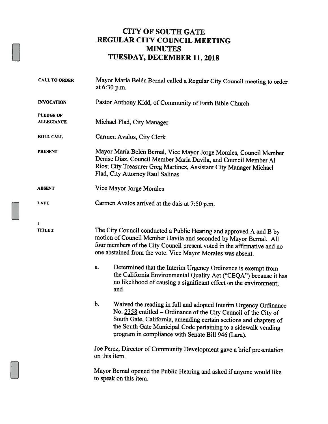#### CITY OF SOUTH GATE REGULAR CITY COUNCIL MEETING MINUTES TUESDAY, DECEMBER 11, 2018

| <b>CALL TO ORDER</b>                  | Mayor María Belén Bernal called a Regular City Council meeting to order<br>at $6:30$ p.m.                                                                                                                                                                                                                                                                                                                                                                                                                                                                                                                                                                                                                                                                                                                                                            |  |  |  |
|---------------------------------------|------------------------------------------------------------------------------------------------------------------------------------------------------------------------------------------------------------------------------------------------------------------------------------------------------------------------------------------------------------------------------------------------------------------------------------------------------------------------------------------------------------------------------------------------------------------------------------------------------------------------------------------------------------------------------------------------------------------------------------------------------------------------------------------------------------------------------------------------------|--|--|--|
| <b>INVOCATION</b>                     | Pastor Anthony Kidd, of Community of Faith Bible Church                                                                                                                                                                                                                                                                                                                                                                                                                                                                                                                                                                                                                                                                                                                                                                                              |  |  |  |
| <b>PLEDGE OF</b><br><b>ALLEGIANCE</b> | Michael Flad, City Manager                                                                                                                                                                                                                                                                                                                                                                                                                                                                                                                                                                                                                                                                                                                                                                                                                           |  |  |  |
| <b>ROLL CALL</b>                      | Carmen Avalos, City Clerk                                                                                                                                                                                                                                                                                                                                                                                                                                                                                                                                                                                                                                                                                                                                                                                                                            |  |  |  |
| <b>PRESENT</b>                        | Mayor María Belén Bernal, Vice Mayor Jorge Morales, Council Member<br>Denise Diaz, Council Member Maria Davila, and Council Member Al<br>Rios; City Treasurer Greg Martinez, Assistant City Manager Michael<br>Flad, City Attorney Raul Salinas                                                                                                                                                                                                                                                                                                                                                                                                                                                                                                                                                                                                      |  |  |  |
| <b>ABSENT</b>                         | Vice Mayor Jorge Morales                                                                                                                                                                                                                                                                                                                                                                                                                                                                                                                                                                                                                                                                                                                                                                                                                             |  |  |  |
| <b>LATE</b>                           | Carmen Avalos arrived at the dais at 7:50 p.m.                                                                                                                                                                                                                                                                                                                                                                                                                                                                                                                                                                                                                                                                                                                                                                                                       |  |  |  |
| 1<br><b>TITLE 2</b>                   | The City Council conducted a Public Hearing and approved A and B by<br>motion of Council Member Davila and seconded by Mayor Bernal. All<br>four members of the City Council present voted in the affirmative and no<br>one abstained from the vote. Vice Mayor Morales was absent.<br>Determined that the Interim Urgency Ordinance is exempt from<br>a.<br>the California Environmental Quality Act ("CEQA") because it has<br>no likelihood of causing a significant effect on the environment;<br>and<br>b.<br>Waived the reading in full and adopted Interim Urgency Ordinance<br>No. 2358 entitled - Ordinance of the City Council of the City of<br>South Gate, California, amending certain sections and chapters of<br>the South Gate Municipal Code pertaining to a sidewalk vending<br>program in compliance with Senate Bill 946 (Lara). |  |  |  |
|                                       | Joe Perez, Director of Community Development gave a brief presentation<br>on this item.<br>Mayor Bernal opened the Public Hearing and asked if anyone would like<br>to speak on this item.                                                                                                                                                                                                                                                                                                                                                                                                                                                                                                                                                                                                                                                           |  |  |  |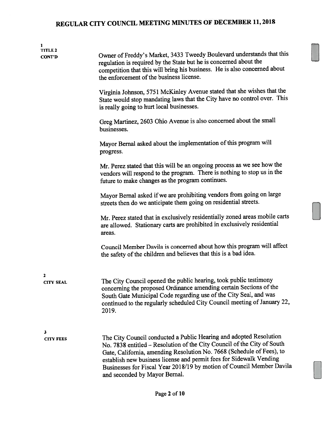| 1<br><b>TITLE 2</b><br>CONT'D | Owner of Freddy's Market, 3433 Tweedy Boulevard understands that this<br>regulation is required by the State but he is concerned about the<br>competition that this will bring his business. He is also concerned about<br>the enforcement of the business license.<br>Virginia Johnson, 5751 McKinley Avenue stated that she wishes that the                                                           |
|-------------------------------|---------------------------------------------------------------------------------------------------------------------------------------------------------------------------------------------------------------------------------------------------------------------------------------------------------------------------------------------------------------------------------------------------------|
|                               | State would stop mandating laws that the City have no control over. This<br>is really going to hurt local businesses.                                                                                                                                                                                                                                                                                   |
|                               | Greg Martinez, 2603 Ohio Avenue is also concerned about the small<br>businesses.                                                                                                                                                                                                                                                                                                                        |
|                               | Mayor Bernal asked about the implementation of this program will<br>progress.                                                                                                                                                                                                                                                                                                                           |
|                               | Mr. Perez stated that this will be an ongoing process as we see how the<br>vendors will respond to the program. There is nothing to stop us in the<br>future to make changes as the program continues.                                                                                                                                                                                                  |
|                               | Mayor Bernal asked if we are prohibiting vendors from going on large<br>streets then do we anticipate them going on residential streets.                                                                                                                                                                                                                                                                |
|                               | Mr. Perez stated that in exclusively residentially zoned areas mobile carts<br>are allowed. Stationary carts are prohibited in exclusively residential<br>areas.                                                                                                                                                                                                                                        |
|                               | Council Member Davila is concerned about how this program will affect<br>the safety of the children and believes that this is a bad idea.                                                                                                                                                                                                                                                               |
| 2<br><b>CITY SEAL</b>         | The City Council opened the public hearing, took public testimony<br>concerning the proposed Ordinance amending certain Sections of the<br>South Gate Municipal Code regarding use of the City Seal, and was<br>continued to the regularly scheduled City Council meeting of January 22,<br>2019.                                                                                                       |
| 3<br><b>CITY FEES</b>         | The City Council conducted a Public Hearing and adopted Resolution<br>No. 7838 entitled - Resolution of the City Council of the City of South<br>Gate, California, amending Resolution No. 7668 (Schedule of Fees), to<br>establish new business license and permit fees for Sidewalk Vending<br>Businesses for Fiscal Year 2018/19 by motion of Council Member Davila<br>and seconded by Mayor Bernal. |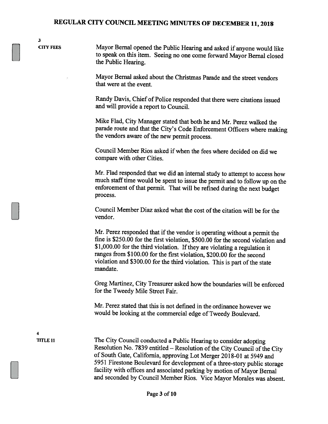3

CITY FEES Mayor Bernal opened the Public Hearing and asked if anyone would like to speak on this item. Seeing no one come forward Mayor Bernal closed the Public Hearing.

> Mayor Bernal asked about the Christmas Parade and the street vendors that were at the event.

Randy Davis, Chief of Police responded that there were citations issued and will provide <sup>a</sup> report to Council.

Mike Flad, City Manager stated that both he and Mr. Perez walked the parade route and that the City's Code Enforcement Officers where making the vendors aware of the new permit process.

Council Member Rios asked if when the fees where decided on did we compare with other Cities.

Mr. Flad responded that we did an internal study to attempt to access how much stafftime would be spent to issue the permit and to follow up on the enforcement of that permit. That will be refined during the next budget process.

Council Member Diaz asked what the cost of the citation will be for the vendor.

Mr. Perez responded that if the vendor is operating without a permit the fme is \$250.00 for the first violation, \$500.00 for the second violation and \$1,000.00 for the third violation. If they are violating a regulation it ranges from \$100.00 for the first violation, \$200.00 for the second violation and \$300.00 for the third violation. This is part of the state mandate.

Greg Martinez, City Treasurer asked how the boundaries will be enforced for the Tweedy Mile Street Fair.

Mr. Perez stated that this is not defined in the ordinance however we would be looking at the commercial edge of Tweedy Boulevard.

4

TITLE 11 The City Council conducted a Public Hearing to consider adopting Resolution No. 7839 entitled – Resolution of the City Council of the City of South Gate, California, approving Lot Merger 2018-01 at 5949 and <sup>5951</sup> Firestone Boulevard for development of <sup>a</sup> three-story public storage facility with offices and associated parking by motion of Mayor Bernal and seconded by Council Member Rios. Vice Mayor Morales was absent.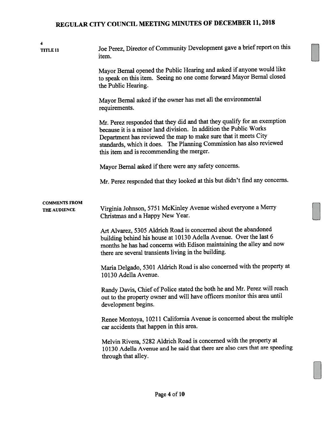| 4<br><b>TITLE 11</b>                 | Joe Perez, Director of Community Development gave a brief report on this<br>item.                                                                                                                                                                                                                                                    |  |  |  |  |
|--------------------------------------|--------------------------------------------------------------------------------------------------------------------------------------------------------------------------------------------------------------------------------------------------------------------------------------------------------------------------------------|--|--|--|--|
|                                      | Mayor Bernal opened the Public Hearing and asked if anyone would like<br>to speak on this item. Seeing no one come forward Mayor Bernal closed<br>the Public Hearing.                                                                                                                                                                |  |  |  |  |
|                                      | Mayor Bernal asked if the owner has met all the environmental<br>requirements.                                                                                                                                                                                                                                                       |  |  |  |  |
|                                      | Mr. Perez responded that they did and that they qualify for an exemption<br>because it is a minor land division. In addition the Public Works<br>Department has reviewed the map to make sure that it meets City<br>standards, which it does. The Planning Commission has also reviewed<br>this item and is recommending the merger. |  |  |  |  |
|                                      | Mayor Bernal asked if there were any safety concerns.                                                                                                                                                                                                                                                                                |  |  |  |  |
|                                      | Mr. Perez responded that they looked at this but didn't find any concerns.                                                                                                                                                                                                                                                           |  |  |  |  |
| <b>COMMENTS FROM</b><br>THE AUDIENCE | Virginia Johnson, 5751 McKinley Avenue wished everyone a Merry<br>Christmas and a Happy New Year.                                                                                                                                                                                                                                    |  |  |  |  |
|                                      | Art Alvarez, 5305 Aldrich Road is concerned about the abandoned<br>building behind his house at 10130 Adella Avenue. Over the last 6<br>months he has had concerns with Edison maintaining the alley and now<br>there are several transients living in the building.                                                                 |  |  |  |  |
|                                      | Maria Delgado, 5301 Aldrich Road is also concerned with the property at<br>10130 Adella Avenue.                                                                                                                                                                                                                                      |  |  |  |  |
|                                      | Randy Davis, Chief of Police stated the both he and Mr. Perez will reach<br>out to the property owner and will have officers monitor this area until<br>development begins.                                                                                                                                                          |  |  |  |  |
|                                      | Renee Montoya, 10211 California Avenue is concerned about the multiple<br>car accidents that happen in this area.                                                                                                                                                                                                                    |  |  |  |  |
|                                      | Melvin Rivera, 5282 Aldrich Road is concerned with the property at<br>10130 Adella Avenue and he said that there are also cars that are speeding<br>through that alley.                                                                                                                                                              |  |  |  |  |

El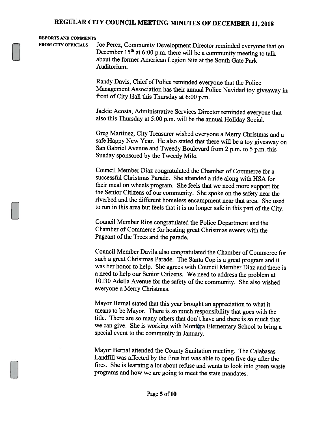#### REPORTS AND COMMENTS

FROM CITY OFFICIALS Joe Perez, Community Development Director reminded everyone that on December  $15<sup>th</sup>$  at 6:00 p.m. there will be a community meeting to talk about the former American Legion Site at the South Gate Park Auditorium.

> Randy Davis, Chief of Police reminded everyone that the Police Management Association has their annual Police Navidad toy <sup>g</sup>iveaway in front of City Hall this Thursday at 6:00 p.m.

Jackie Acosta, Administrative Services Director reminded everyone that also this Thursday at 5:00 p.m. will be the annual Holiday Social.

Greg Martinez, City Treasurer wished everyone <sup>a</sup> Merry Christmas and <sup>a</sup> safe Happy New Year. He also stated that there will be <sup>a</sup> toy <sup>g</sup>iveaway on San Gabriel Avenue and Tweedy Boulevard from <sup>2</sup> p.m. to <sup>5</sup> p.m. this Sunday sponsored by the Tweedy Mile.

Council Member Diaz congratulated the Chamber of Commerce for <sup>a</sup> successful Christmas Parade. She attended <sup>a</sup> ride along with HSA for their meal on wheels program. She feels that we need more support for the Senior Citizens of our community. She spoke on the safety near the riverbed and the different homeless encampment near that area. She used to run in this area but feels that it is no longer safe in this part of the City.

Council Member Rios congratulated the Police Department and the Chamber of Commerce for hosting great Christmas events with the Pageant of the Trees and the parade.

Council Member Davila also congratulated the Chamber of Commerce for such <sup>a</sup> great Christmas Parade. The Santa Cop is <sup>a</sup> great program and it was her honor to help. She agrees with Council Member Diaz and there is <sup>a</sup> need to help our Senior Citizens. We need to address the problem at 10130 Adella Avenue for the safety of the community. She also wished everyone <sup>a</sup> Merry Christmas.

Mayor Bernal stated that this year brought an appreciation to what it means to be Mayor. There is so much responsibility that goes with the title. There are so many others that don't have and there is so much that we can give. She is working with Montara Elementary School to bring a special event to the community in January.

Mayor Bernal attended the County Sanitation meeting. The Calabasas Landfill was affected by the fires but was able to open five day after the fires. She is learning <sup>a</sup> lot about refuse and wants to look into green waste programs and how we are going to meet the state mandates.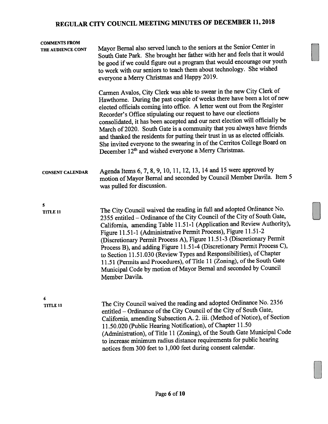| <b>COMMENTS FROM</b><br>THE AUDIENCE CONT | Mayor Bernal also served lunch to the seniors at the Senior Center in<br>South Gate Park. She brought her father with her and feels that it would<br>be good if we could figure out a program that would encourage our youth<br>to work with our seniors to teach them about technology. She wished<br>everyone a Merry Christmas and Happy 2019.                                                                                                                                                                                                                                                                                                                                           |  |  |  |
|-------------------------------------------|---------------------------------------------------------------------------------------------------------------------------------------------------------------------------------------------------------------------------------------------------------------------------------------------------------------------------------------------------------------------------------------------------------------------------------------------------------------------------------------------------------------------------------------------------------------------------------------------------------------------------------------------------------------------------------------------|--|--|--|
|                                           | Carmen Avalos, City Clerk was able to swear in the new City Clerk of<br>Hawthorne. During the past couple of weeks there have been a lot of new<br>elected officials coming into office. A letter went out from the Register<br>Recorder's Office stipulating our request to have our elections<br>consolidated, it has been accepted and our next election will officially be<br>March of 2020. South Gate is a community that you always have friends<br>and thanked the residents for putting their trust in us as elected officials.<br>She invited everyone to the swearing in of the Cerritos College Board on<br>December 12 <sup>th</sup> and wished everyone a Merry Christmas.    |  |  |  |
| <b>CONSENT CALENDAR</b>                   | Agenda Items 6, 7, 8, 9, 10, 11, 12, 13, 14 and 15 were approved by<br>motion of Mayor Bernal and seconded by Council Member Davila. Item 5<br>was pulled for discussion.                                                                                                                                                                                                                                                                                                                                                                                                                                                                                                                   |  |  |  |
| 5<br><b>TITLE 11</b>                      | The City Council waived the reading in full and adopted Ordinance No.<br>2355 entitled - Ordinance of the City Council of the City of South Gate,<br>California, amending Table 11.51-1 (Application and Review Authority),<br>Figure 11.51-1 (Administrative Permit Process), Figure 11.51-2<br>(Discretionary Permit Process A), Figure 11.51-3 (Discretionary Permit<br>Process B), and adding Figure 11.51-4 (Discretionary Permit Process C),<br>to Section 11.51.030 (Review Types and Responsibilities), of Chapter<br>11.51 (Permits and Procedures), of Title 11 (Zoning), of the South Gate<br>Municipal Code by motion of Mayor Bernal and seconded by Council<br>Member Davila. |  |  |  |
| 6<br><b>TITLE 11</b>                      | The City Council waived the reading and adopted Ordinance No. 2356<br>entitled - Ordinance of the City Council of the City of South Gate,<br>California, amending Subsection A. 2. iii. (Method of Notice), of Section<br>11.50.020 (Public Hearing Notification), of Chapter 11.50<br>(Administration), of Title 11 (Zoning), of the South Gate Municipal Code<br>to increase minimum radius distance requirements for public hearing<br>notices from 300 feet to 1,000 feet during consent calendar.                                                                                                                                                                                      |  |  |  |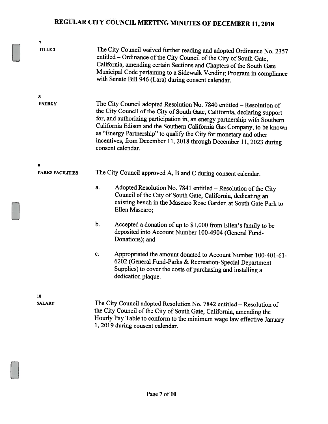| 7                            |                                                                                                                                                                                                                                                                                                                                                                                                                                                                              |  |  |  |
|------------------------------|------------------------------------------------------------------------------------------------------------------------------------------------------------------------------------------------------------------------------------------------------------------------------------------------------------------------------------------------------------------------------------------------------------------------------------------------------------------------------|--|--|--|
| <b>TITLE 2</b>               | The City Council waived further reading and adopted Ordinance No. 2357<br>entitled - Ordinance of the City Council of the City of South Gate,<br>California, amending certain Sections and Chapters of the South Gate<br>Municipal Code pertaining to a Sidewalk Vending Program in compliance<br>with Senate Bill 946 (Lara) during consent calendar.                                                                                                                       |  |  |  |
| 8<br><b>ENERGY</b>           | The City Council adopted Resolution No. 7840 entitled - Resolution of<br>the City Council of the City of South Gate, California, declaring support<br>for, and authorizing participation in, an energy partnership with Southern<br>California Edison and the Southern California Gas Company, to be known<br>as "Energy Partnership" to qualify the City for monetary and other<br>incentives, from December 11, 2018 through December 11, 2023 during<br>consent calendar. |  |  |  |
| 9<br><b>PARKS FACILITIES</b> | The City Council approved A, B and C during consent calendar.                                                                                                                                                                                                                                                                                                                                                                                                                |  |  |  |
|                              | Adopted Resolution No. 7841 entitled - Resolution of the City<br>a.<br>Council of the City of South Gate, California, dedicating an<br>existing bench in the Mascaro Rose Garden at South Gate Park to<br>Ellen Mascaro;                                                                                                                                                                                                                                                     |  |  |  |
|                              | $b$ .<br>Accepted a donation of up to \$1,000 from Ellen's family to be<br>deposited into Account Number 100-4904 (General Fund-<br>Donations); and                                                                                                                                                                                                                                                                                                                          |  |  |  |
|                              | c.<br>Appropriated the amount donated to Account Number 100-401-61-<br>6202 (General Fund-Parks & Recreation-Special Department<br>Supplies) to cover the costs of purchasing and installing a<br>dedication plaque.                                                                                                                                                                                                                                                         |  |  |  |
| 10<br><b>SALARY</b>          | The City Council adopted Resolution No. 7842 entitled - Resolution of<br>the City Council of the City of South Gate, California, amending the<br>Hourly Pay Table to conform to the minimum wage law effective January                                                                                                                                                                                                                                                       |  |  |  |

1, 2019 during consent calendar.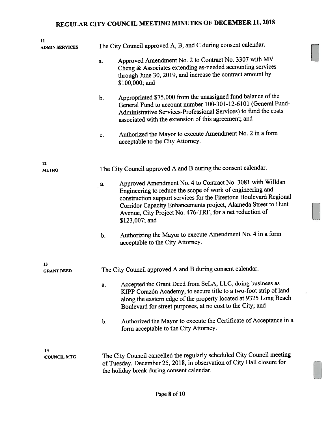| 11<br><b>ADMIN SERVICES</b> | The City Council approved A, B, and C during consent calendar.                                                                                                                                                                                                                                                                                       |  |  |  |
|-----------------------------|------------------------------------------------------------------------------------------------------------------------------------------------------------------------------------------------------------------------------------------------------------------------------------------------------------------------------------------------------|--|--|--|
|                             | Approved Amendment No. 2 to Contract No. 3307 with MV<br>a.<br>Cheng & Associates extending as-needed accounting services<br>through June 30, 2019, and increase the contract amount by<br>\$100,000; and                                                                                                                                            |  |  |  |
|                             | Appropriated \$75,000 from the unassigned fund balance of the<br>b.<br>General Fund to account number 100-301-12-6101 (General Fund-<br>Administrative Services-Professional Services) to fund the costs<br>associated with the extension of this agreement; and                                                                                     |  |  |  |
|                             | Authorized the Mayor to execute Amendment No. 2 in a form<br>c.<br>acceptable to the City Attorney.                                                                                                                                                                                                                                                  |  |  |  |
| 12<br><b>METRO</b>          | The City Council approved A and B during the consent calendar.                                                                                                                                                                                                                                                                                       |  |  |  |
|                             | Approved Amendment No. 4 to Contract No. 3081 with Willdan<br>a.<br>Engineering to reduce the scope of work of engineering and<br>construction support services for the Firestone Boulevard Regional<br>Corridor Capacity Enhancements project, Alameda Street to Hunt<br>Avenue, City Project No. 476-TRF, for a net reduction of<br>\$123,007; and |  |  |  |
|                             | Authorizing the Mayor to execute Amendment No. 4 in a form<br>b.<br>acceptable to the City Attorney.                                                                                                                                                                                                                                                 |  |  |  |
| 13<br><b>GRANT DEED</b>     | The City Council approved A and B during consent calendar.                                                                                                                                                                                                                                                                                           |  |  |  |
|                             | Accepted the Grant Deed from SeLA, LLC, doing business as<br>a.<br>KIPP Corazón Academy, to secure title to a two-foot strip of land<br>along the eastern edge of the property located at 9325 Long Beach<br>Boulevard for street purposes, at no cost to the City; and                                                                              |  |  |  |
|                             | Authorized the Mayor to execute the Certificate of Acceptance in a<br>b.<br>form acceptable to the City Attorney.                                                                                                                                                                                                                                    |  |  |  |
| 14<br><b>COUNCIL MTG</b>    | The City Council cancelled the regularly scheduled City Council meeting<br>of Tuesday, December 25, 2018, in observation of City Hall closure for<br>the holiday break during consent calendar.                                                                                                                                                      |  |  |  |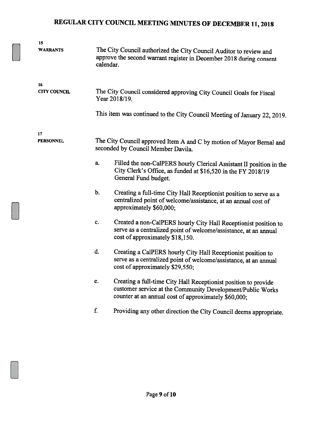| 15                  |    |                                                                                                                                                                                       |  |  |  |
|---------------------|----|---------------------------------------------------------------------------------------------------------------------------------------------------------------------------------------|--|--|--|
| <b>WARRANTS</b>     |    | The City Council authorized the City Council Auditor to review and<br>approve the second warrant register in December 2018 during consent<br>calendar.                                |  |  |  |
| 16                  |    |                                                                                                                                                                                       |  |  |  |
| <b>CITY COUNCIL</b> |    | The City Council considered approving City Council Goals for Fiscal<br>Year 2018/19.                                                                                                  |  |  |  |
|                     |    | This item was continued to the City Council Meeting of January 22, 2019.                                                                                                              |  |  |  |
| 17                  |    |                                                                                                                                                                                       |  |  |  |
| <b>PERSONNEL</b>    |    | The City Council approved Item A and C by motion of Mayor Bernal and<br>seconded by Council Member Davila.                                                                            |  |  |  |
|                     | a. | Filled the non-CalPERS hourly Clerical Assistant II position in the<br>City Clerk's Office, as funded at \$16,520 in the FY 2018/19<br>General Fund budget.                           |  |  |  |
|                     | b. | Creating a full-time City Hall Receptionist position to serve as a<br>centralized point of welcome/assistance, at an annual cost of<br>approximately \$60,000;                        |  |  |  |
|                     | c. | Created a non-CalPERS hourly City Hall Receptionist position to<br>serve as a centralized point of welcome/assistance, at an annual<br>cost of approximately \$18,150.                |  |  |  |
|                     | d. | Creating a CalPERS hourly City Hall Receptionist position to<br>serve as a centralized point of welcome/assistance, at an annual<br>cost of approximately \$29,550;                   |  |  |  |
|                     | e. | Creating a full-time City Hall Receptionist position to provide<br>customer service at the Community Development/Public Works<br>counter at an annual cost of approximately \$60,000; |  |  |  |
|                     | f. | Providing any other direction the City Council deems appropriate.                                                                                                                     |  |  |  |